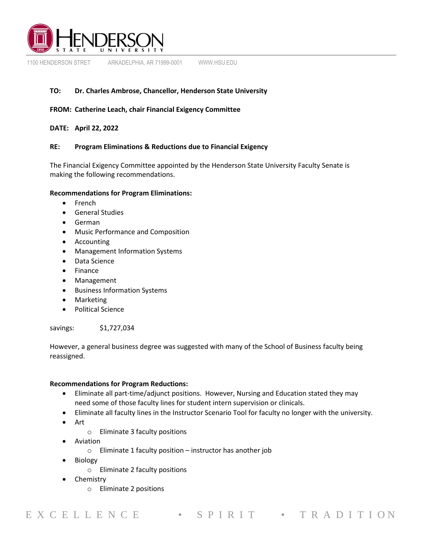

1100 HENDERSON STRET ARKADELPHIA, AR 71999-0001 WWW.HSU.EDU

# **TO: Dr. Charles Ambrose, Chancellor, Henderson State University**

## **FROM: Catherine Leach, chair Financial Exigency Committee**

## **DATE: April 22, 2022**

## **RE: Program Eliminations & Reductions due to Financial Exigency**

The Financial Exigency Committee appointed by the Henderson State University Faculty Senate is making the following recommendations.

## **Recommendations for Program Eliminations:**

- French
- General Studies
- German
- Music Performance and Composition
- Accounting
- Management Information Systems
- Data Science
- Finance
- Management
- Business Information Systems
- Marketing
- Political Science

## savings: \$1,727,034

However, a general business degree was suggested with many of the School of Business faculty being reassigned.

## **Recommendations for Program Reductions:**

- Eliminate all part-time/adjunct positions. However, Nursing and Education stated they may need some of those faculty lines for student intern supervision or clinicals.
- Eliminate all faculty lines in the Instructor Scenario Tool for faculty no longer with the university.
- Art
	- o Eliminate 3 faculty positions
- Aviation
	- o Eliminate 1 faculty position instructor has another job
- Biology
	- o Eliminate 2 faculty positions
- **Chemistry** 
	- o Eliminate 2 positions